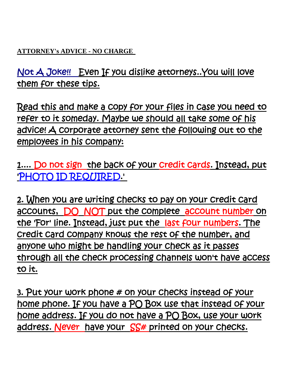**ATTORNEY's ADVICE - NO CHARGE** 

Not A Joke!! Even If you dislike attorneys..You will love them for these tips.

Read this and make a copy for your files in case you need to refer to it someday. Maybe we should all take some of his advice! A corporate attorney sent the following out to the employees in his company:

1.... Do not sign the back of your credit cards. Instead, put 'PHOTO ID REQUIRED.'

2. When you are writing checks to pay on your credit card accounts, DO NOT put the complete account number on the 'For' line. Instead, just put the last four numbers. The credit card company knows the rest of the number, and anyone who might be handling your check as it passes through all the check processing channels won't have access to it.

3. Put your work phone # on your checks instead of your home phone. If you have a PO Box use that instead of your home address. If you do not have a PO Box, use your work address. Never have your SS# printed on your checks.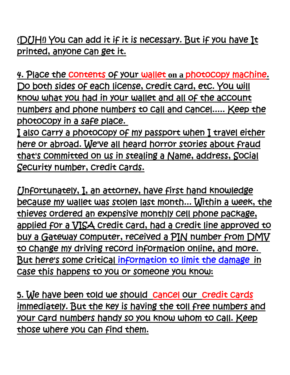(DUH!) You can add it if it is necessary. But if you have It printed, anyone can get it.

4. Place the contents of your wallet **on a** photocopy machine. Do both sides of each license, credit card, etc. You will know what you had in your wallet and all of the account numbers and phone numbers to call and cancel..... Keep the photocopy in a safe place.

I also carry a photocopy of my passport when I travel either here or abroad. We've all heard horror stories about fraud that's committed on us in stealing a Name, address, Social Security number, credit cards.

Unfortunately, I, an attorney, have first hand knowledge because my wallet was stolen last month... Within a week, the thieves ordered an expensive monthly cell phone package, applied for a VISA credit card, had a credit line approved to buy a Gateway computer, received a PIN number from DMV to change my driving record information online, and more. But here's some critical information to limit the damagein case this happens to you or someone you know:

5. We have been told we should cancel our credit cards immediately. But the key is having the toll free numbers and your card numbers handy so you know whom to call. Keep those where you can find them.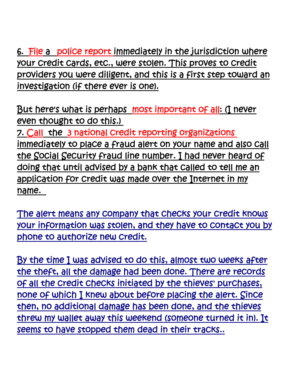6. File a police report immediately in the jurisdiction where your credit cards, etc., were stolen. This proves to credit providers you were diligent, and this is a first step toward an investigation (if there ever is one).

But here's what is perhaps most important of all: (I never even thought to do this.) 7. Call the 3 national credit reporting organizations immediately to place a fraud alert on your name and also call the Social Security fraud line number. I had never heard of doing that until advised by a bank that called to tell me an application for credit was made over the Internet in my name.

The alert means any company that checks your credit knows your information was stolen, and they have to contact you by phone to authorize new credit.

By the time I was advised to do this, almost two weeks after the theft, all the damage had been done. There are records of all the credit checks initiated by the thieves' purchases, none of which I knew about before placing the alert. Since then, no additional damage has been done, and the thieves threw my wallet away this weekend (someone turned it in). It seems to have stopped them dead in their tracks..